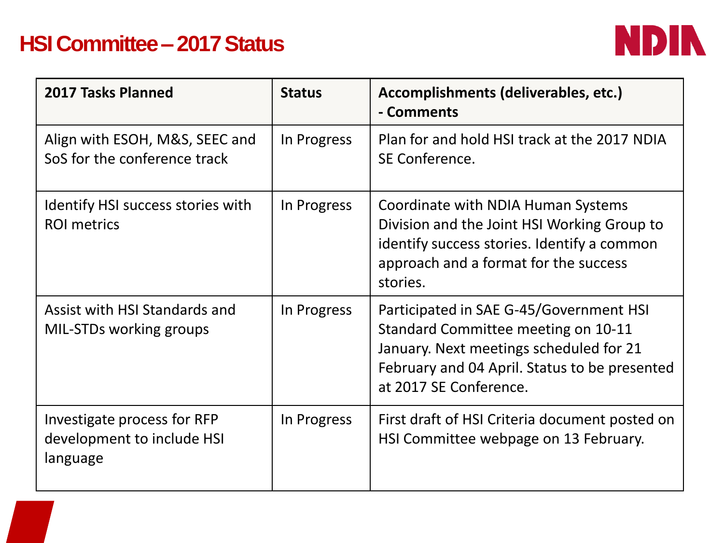## **HSI Committee – 2017 Status**



| 2017 Tasks Planned                                                    | <b>Status</b> | Accomplishments (deliverables, etc.)<br>- Comments                                                                                                                                                   |
|-----------------------------------------------------------------------|---------------|------------------------------------------------------------------------------------------------------------------------------------------------------------------------------------------------------|
| Align with ESOH, M&S, SEEC and<br>SoS for the conference track        | In Progress   | Plan for and hold HSI track at the 2017 NDIA<br>SE Conference.                                                                                                                                       |
| Identify HSI success stories with<br><b>ROI</b> metrics               | In Progress   | Coordinate with NDIA Human Systems<br>Division and the Joint HSI Working Group to<br>identify success stories. Identify a common<br>approach and a format for the success<br>stories.                |
| Assist with HSI Standards and<br>MIL-STDs working groups              | In Progress   | Participated in SAE G-45/Government HSI<br>Standard Committee meeting on 10-11<br>January. Next meetings scheduled for 21<br>February and 04 April. Status to be presented<br>at 2017 SE Conference. |
| Investigate process for RFP<br>development to include HSI<br>language | In Progress   | First draft of HSI Criteria document posted on<br>HSI Committee webpage on 13 February.                                                                                                              |